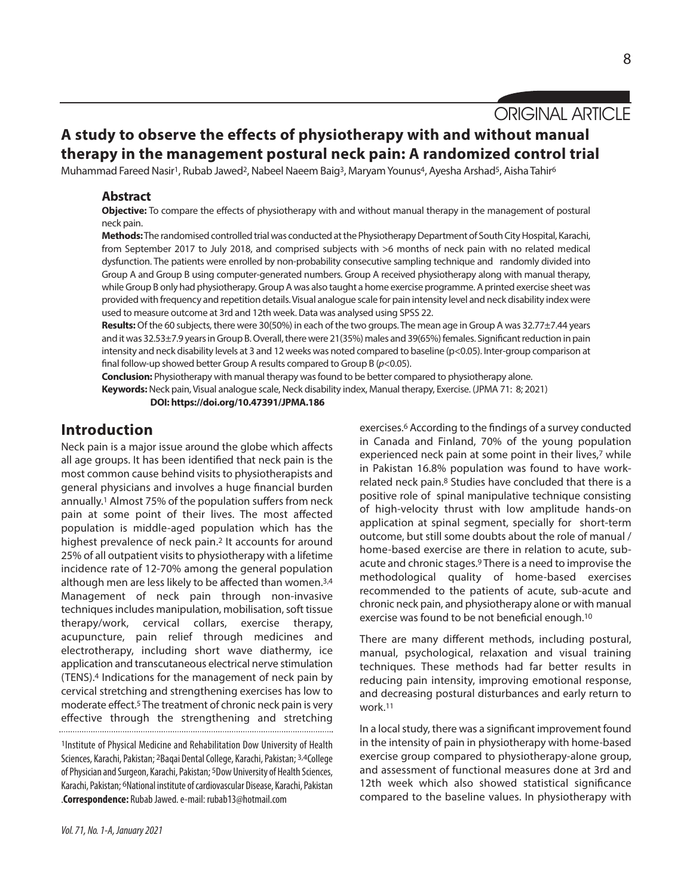# ORIGINAL ARTICLE

# **A study to observe the effects of physiotherapy with and without manual therapy in the management postural neck pain: A randomized control trial**

Muhammad Fareed Nasir<sup>1</sup>, Rubab Jawed<sup>2</sup>, Nabeel Naeem Baig<sup>3</sup>, Maryam Younus<sup>4</sup>, Ayesha Arshad<sup>5</sup>, Aisha Tahir<sup>6</sup>

#### **Abstract**

**Objective:** To compare the effects of physiotherapy with and without manual therapy in the management of postural neck pain.

Methods: The randomised controlled trial was conducted at the Physiotherapy Department of South City Hospital, Karachi, from September 2017 to July 2018, and comprised subjects with >6 months of neck pain with no related medical dysfunction. The patients were enrolled by non-probability consecutive sampling technique and randomly divided into Group A and Group B using computer-generated numbers. Group A received physiotherapy along with manual therapy, while Group B only had physiotherapy. Group A was also taught a home exercise programme. A printed exercise sheet was provided with frequency and repetition details.Visual analogue scale for pain intensity level and neck disability index were used to measure outcome at 3rd and 12th week. Data was analysed using SPSS 22.

**Results:**Of the 60 subjects, there were 30(50%) in each of the two groups. The mean age in Group A was 32.77±7.44 years and it was 32.53±7.9 years in Group B. Overall, there were 21(35%) males and 39(65%) females. Significant reduction in pain intensity and neck disability levels at 3 and 12 weeks was noted compared to baseline (p<0.05). Inter-group comparison at final follow-up showed better Group A results compared to Group B (*p*<0.05).

**Conclusion:** Physiotherapy with manual therapy wasfound to be better compared to physiotherapy alone.

Keywords: Neck pain, Visual analogue scale, Neck disability index, Manual therapy, Exercise. (JPMA 71: 8; 2021)

**DOI: https://doi.org/10.47391/JPMA.186**

## **Introduction**

Neck pain is a major issue around the globe which affects all age groups. It has been identified that neck pain is the most common cause behind visits to physiotherapists and general physicians and involves a huge financial burden annually. <sup>1</sup> Almost 75% of the population suffers from neck pain at some point of their lives. The most affected population is middle-aged population which has the highest prevalence of neck pain.2 It accounts for around 25% of all outpatient visits to physiotherapy with a lifetime incidence rate of 12-70% among the general population although men are less likely to be affected than women. 3,4 Management of neck pain through non-invasive techniques includes manipulation, mobilisation, soft tissue therapy/work, cervical collars, exercise therapy, acupuncture, pain relief through medicines and electrotherapy, including short wave diathermy, ice application and transcutaneous electrical nerve stimulation (TENS). <sup>4</sup> Indications for the management of neck pain by cervical stretching and strengthening exercises has low to moderate effect. <sup>5</sup> The treatment of chronic neck pain is very effective through the strengthening and stretching

1Institute of Physical Medicine and Rehabilitation Dow University of Health Sciences, Karachi, Pakistan; <sup>2</sup>Bagai Dental College, Karachi, Pakistan; <sup>3,4</sup>College of Physician and Surgeon, Karachi, Pakistan; <sup>5</sup>Dow University of Health Sciences, Karachi, Pakistan; <sup>6</sup>National institute of cardiovascular Disease, Karachi, Pakistan .**Correspondence:** RubabJawed.e-mail: rubab13@hotmail.com

exercises. <sup>6</sup> According to the findings of a survey conducted in Canada and Finland, 70% of the young population experienced neck pain at some point in their lives, <sup>7</sup> while in Pakistan 16.8% population was found to have workrelated neck pain. <sup>8</sup> Studies have concluded that there is a positive role of spinal manipulative technique consisting of high-velocity thrust with low amplitude hands-on application at spinal segment, specially for short-term outcome, but still some doubts about the role of manual / home-based exercise are there in relation to acute, subacute and chronic stages. <sup>9</sup> There is a need to improvise the methodological quality of home-based exercises recommended to the patients of acute, sub-acute and chronic neck pain, and physiotherapy alone or with manual exercise was found to be not beneficial enough. 10

There are many different methods, including postural, manual, psychological, relaxation and visual training techniques. These methods had far better results in reducing pain intensity, improving emotional response, and decreasing postural disturbances and early return to work. 11

In a local study, there was a significant improvement found in the intensity of pain in physiotherapy with home-based exercise group compared to physiotherapy-alone group, and assessment of functional measures done at 3rd and 12th week which also showed statistical significance compared to the baseline values. In physiotherapy with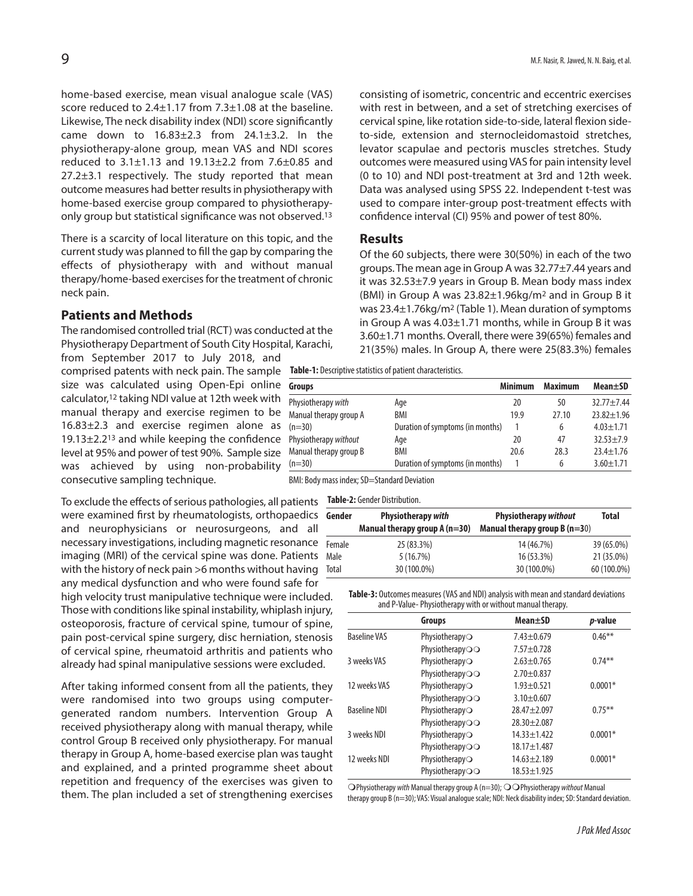home-based exercise, mean visual analogue scale (VAS) score reduced to 2.4±1.17 from 7.3±1.08 at the baseline. Likewise, The neck disability index (NDI) score significantly came down to 16.83±2.3 from 24.1±3.2. In the physiotherapy-alone group, mean VAS and NDI scores reduced to 3.1±1.13 and 19.13±2.2 from 7.6±0.85 and 27.2±3.1 respectively. The study reported that mean outcome measures had better resultsin physiotherapy with home-based exercise group compared to physiotherapyonly group but statistical significance was not observed. 13

There is a scarcity of local literature on this topic, and the current study was planned to fill the gap by comparing the effects of physiotherapy with and without manual therapy/home-based exercises for the treatment of chronic neck pain.

### **Patients and Methods**

The randomised controlled trial (RCT) was conducted at the Physiotherapy Department of South City Hospital, Karachi,

from September 2017 to July 2018, and comprised patents with neck pain. The sample **Table-1:** Descriptivestatisticsofpatient characteristics. size was calculated using Open-Epi online Gr calculator, <sup>12</sup> taking NDI value at 12th week with manual therapy and exercise regimen to be 16.83 $\pm$ 2.3 and exercise regimen alone as  $(n=$ 19.13 $\pm$ 2.2<sup>13</sup> and while keeping the confidence Phy level at 95% and power of test 90%. Sample size was achieved by using non-probability consecutive sampling technique.

To exclude the effects of serious pathologies, all patients Table-2: Gender Distribution. were examined first by rheumatologists, orthopaedics and neurophysicians or neurosurgeons, and all necessary investigations, including magnetic resonance imaging (MRI) of the cervical spine was done. Patients with the history of neck pain >6 months without having any medical dysfunction and who were found safe for high velocity trust manipulative technique were included. Those with conditions like spinal instability, whiplash injury, osteoporosis, fracture of cervical spine, tumour of spine, pain post-cervical spine surgery, disc herniation, stenosis of cervical spine, rheumatoid arthritis and patients who already had spinal manipulative sessions were excluded.

After taking informed consent from all the patients, they were randomised into two groups using computergenerated random numbers. Intervention Group A received physiotherapy along with manual therapy, while control Group B received only physiotherapy. For manual therapy in Group A, home-based exercise plan was taught and explained, and a printed programme sheet about repetition and frequency of the exercises was given to them. The plan included a set of strengthening exercises

consisting of isometric, concentric and eccentric exercises with rest in between, and a set of stretching exercises of cervical spine, like rotation side-to-side, lateral flexion sideto-side, extension and sternocleidomastoid stretches, levator scapulae and pectoris muscles stretches. Study outcomes were measured using VAS for pain intensity level (0 to 10) and NDI post-treatment at 3rd and 12th week. Data was analysed using SPSS 22. Independent t-test was used to compare inter-group post-treatment effects with confidence interval (CI) 95% and power of test 80%.

#### **Results**

Of the 60 subjects, there were 30(50%) in each of the two groups. The mean age in Group A was 32.77±7.44 years and it was 32.53±7.9 years in Group B. Mean body mass index (BMI) in Group A was 23.82±1.96kg/m2 and in Group B it was 23.4±1.76kg/m<sup>2</sup> (Table 1). Mean duration of symptoms in Group A was 4.03±1.71 months, while in Group B it was 3.60±1.71 months. Overall, there were 39(65%) females and 21(35%) males. In Group A, there were 25(83.3%) females

| Groups                 |                                  | <b>Minimum</b> | <b>Maximum</b> | Mean±SD          |
|------------------------|----------------------------------|----------------|----------------|------------------|
| Physiotherapy with     | Age                              | 20             | 50             | $32.77 + 7.44$   |
| Manual therapy group A | BMI                              | 19.9           | 27.10          | $23.82 \pm 1.96$ |
| $(n=30)$               | Duration of symptoms (in months) |                | 6              | $4.03 \pm 1.71$  |
| Physiotherapy without  | Age                              | 20             | 47             | $32.53 + 7.9$    |
| Manual therapy group B | BMI                              | 20.6           | 28.3           | $23.4 \pm 1.76$  |
| $(n=30)$               | Duration of symptoms (in months) |                | 6              | $3.60 \pm 1.71$  |

BMI: Body mass index; SD=Standard Deviation

| Gender | <b>Physiotherapy with</b><br>Manual therapy group $A(n=30)$ | <b>Physiotherapy without</b><br>Manual therapy group $B(n=30)$ | Total       |
|--------|-------------------------------------------------------------|----------------------------------------------------------------|-------------|
| Female | 25 (83.3%)                                                  | 14 (46.7%)                                                     | 39 (65.0%)  |
| Male   | 5(16.7%)                                                    | 16 (53.3%)                                                     | 21 (35.0%)  |
| Total  | 30 (100.0%)                                                 | 30 (100.0%)                                                    | 60 (100.0%) |

Table-3: Outcomes measures (VAS and NDI) analysis with mean and standard deviations and P-Value- Physiotherapy with or without manual therapy.

|                     | Groups          | Mean+SD           | p-value   |
|---------------------|-----------------|-------------------|-----------|
| <b>Baseline VAS</b> | Physiotherapy   | $7.43 \pm 0.679$  | $0.46***$ |
|                     | PhysiotherapyOO | $7.57 + 0.728$    |           |
| 3 weeks VAS         | Physiotherapy   | $2.63 + 0.765$    | $0.74***$ |
|                     | PhysiotherapyOO | $2.70 + 0.837$    |           |
| 12 weeks VAS        | Physiotherapy   | $1.93 + 0.521$    | $0.0001*$ |
|                     | PhysiotherapyOO | $3.10 + 0.607$    |           |
| <b>Baseline NDI</b> | Physiotherapy   | $28.47 + 2.097$   | $0.75***$ |
|                     | PhysiotherapyOO | $28.30 + 2.087$   |           |
| 3 weeks NDI         | Physiotherapy   | $14.33 + 1.422$   | $0.0001*$ |
|                     | Physiotherapyoo | $18.17 \pm 1.487$ |           |
| 12 weeks NDI        | Physiotherapy   | $14.63 + 2.189$   | $0.0001*$ |
|                     | PhysiotherapyOO | $18.53 \pm 1.925$ |           |

OPhysiotherapy *with* Manual therapy group A (n=30); OOPhysiotherapy *without* Manual therapy group B (n=30); VAS: Visual analogue scale; NDI: Neck disability index; SD: Standard deviation.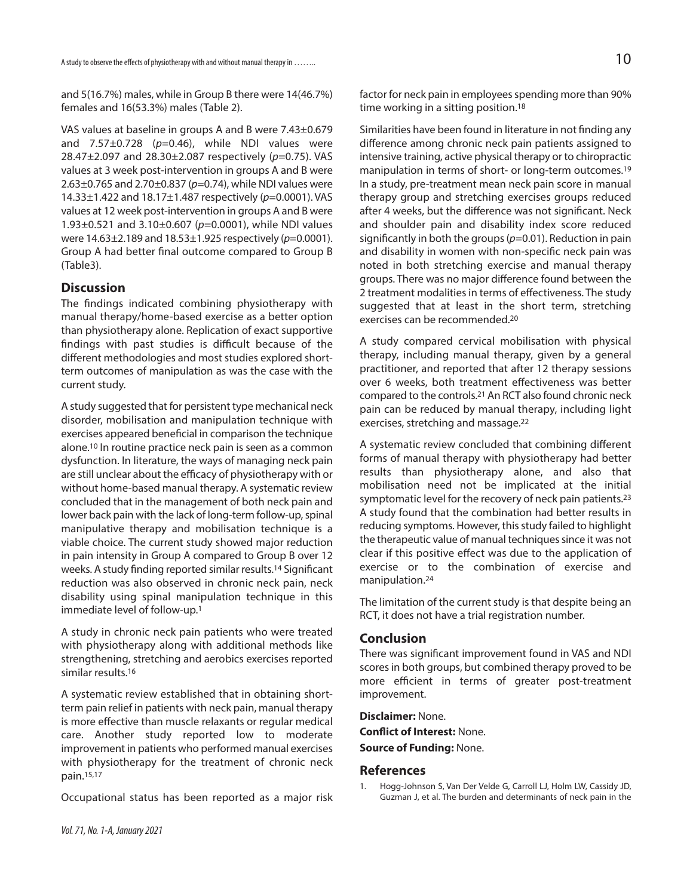and 5(16.7%) males, while in Group B there were 14(46.7%) females and 16(53.3%) males (Table 2).

VAS values at baseline in groups A and B were 7.43±0.679 and 7.57±0.728 (*p*=0.46), while NDI values were 28.47±2.097 and 28.30±2.087 respectively (*p*=0.75). VAS values at 3 week post-intervention in groups A and B were 2.63±0.765 and 2.70±0.837 (*p*=0.74), while NDI values were 14.33±1.422 and 18.17±1.487 respectively (*p*=0.0001). VAS values at 12 week post-intervention in groups A and B were 1.93±0.521 and 3.10±0.607 (*p*=0.0001), while NDI values were 14.63±2.189 and 18.53±1.925 respectively (*p*=0.0001). Group A had better final outcome compared to Group B (Table3).

### **Discussion**

The findings indicated combining physiotherapy with manual therapy/home-based exercise as a better option than physiotherapy alone. Replication of exact supportive findings with past studies is difficult because of the different methodologies and most studies explored shortterm outcomes of manipulation as was the case with the current study.

A study suggested that for persistent type mechanical neck disorder, mobilisation and manipulation technique with exercises appeared beneficial in comparison the technique alone. <sup>10</sup> In routine practice neck pain is seen as a common dysfunction. In literature, the ways of managing neck pain are still unclear about the efficacy of physiotherapy with or without home-based manual therapy. A systematic review concluded that in the management of both neck pain and lower back pain with the lack of long-term follow-up, spinal manipulative therapy and mobilisation technique is a viable choice. The current study showed major reduction in pain intensity in Group A compared to Group B over 12 weeks. A study finding reported similar results. <sup>14</sup> Significant reduction was also observed in chronic neck pain, neck disability using spinal manipulation technique in this immediate level of follow-up. 1

A study in chronic neck pain patients who were treated with physiotherapy along with additional methods like strengthening, stretching and aerobics exercises reported similar results. 16

A systematic review established that in obtaining shortterm pain relief in patients with neck pain, manual therapy is more effective than muscle relaxants or regular medical care. Another study reported low to moderate improvement in patients who performed manual exercises with physiotherapy for the treatment of chronic neck pain. 15,17

Occupational status has been reported as a major risk

factor for neck pain in employees spending more than 90% time working in a sitting position. 18

Similarities have been found in literature in not finding any difference among chronic neck pain patients assigned to intensive training, active physical therapy or to chiropractic manipulation in terms of short- or long-term outcomes. 19 In a study, pre-treatment mean neck pain score in manual therapy group and stretching exercises groups reduced after 4 weeks, but the difference was not significant. Neck and shoulder pain and disability index score reduced significantly in both the groups(*p*=0.01). Reduction in pain and disability in women with non-specific neck pain was noted in both stretching exercise and manual therapy groups. There was no major difference found between the 2 treatment modalities in terms of effectiveness. The study suggested that at least in the short term, stretching exercises can be recommended. 20

A study compared cervical mobilisation with physical therapy, including manual therapy, given by a general practitioner, and reported that after 12 therapy sessions over 6 weeks, both treatment effectiveness was better compared to the controls. <sup>21</sup> An RCT also found chronic neck pain can be reduced by manual therapy, including light exercises, stretching and massage. 22

A systematic review concluded that combining different forms of manual therapy with physiotherapy had better results than physiotherapy alone, and also that mobilisation need not be implicated at the initial symptomatic level for the recovery of neck pain patients.<sup>23</sup> A study found that the combination had better results in reducing symptoms. However, this study failed to highlight the therapeutic value of manual techniques since it was not clear if this positive effect was due to the application of exercise or to the combination of exercise and manipulation. 24

The limitation of the current study is that despite being an RCT, it does not have a trial registration number.

#### **Conclusion**

There was significant improvement found in VAS and NDI scores in both groups, but combined therapy proved to be more efficient in terms of greater post-treatment improvement.

**Disclaimer:** None.

**Conflict of Interest:** None.

**Source of Funding:** None.

#### **References**

1. Hogg-Johnson S, Van Der Velde G, Carroll LJ, Holm LW, Cassidy JD, Guzman J, et al. The burden and determinants of neck pain in the